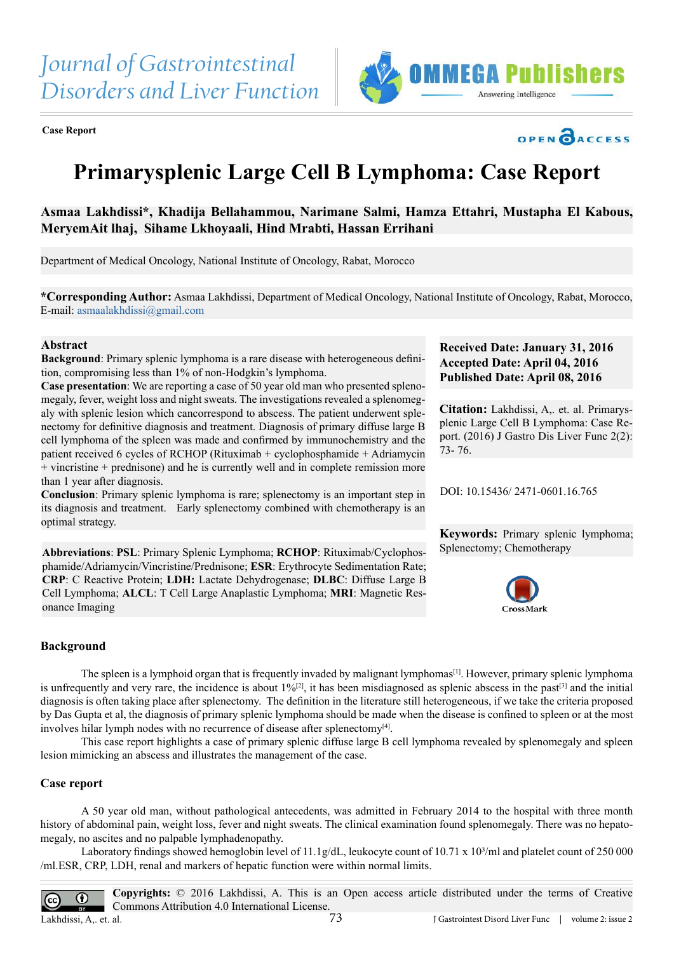





# **Primarysplenic Large Cell B Lymphoma: Case Report**

**Asmaa Lakhdissi\*, Khadija Bellahammou, Narimane Salmi, Hamza Ettahri, Mustapha El Kabous, MeryemAit lhaj, Sihame Lkhoyaali, Hind Mrabti, Hassan Errihani**

Department of Medical Oncology, National Institute of Oncology, Rabat, Morocco

**\*Corresponding Author:** Asmaa Lakhdissi, Department of Medical Oncology, National Institute of Oncology, Rabat, Morocco, E-mail: [asmaalakhdissi@gmail.com](mailto:asmaalakhdissi@gmail.com)

# **Abstract**

**Background:** Primary splenic lymphoma is a rare disease with heterogeneous definition, compromising less than 1% of non-Hodgkin's lymphoma.

**Case presentation**: We are reporting a case of 50 year old man who presented splenomegaly, fever, weight loss and night sweats. The investigations revealed a splenomegaly with splenic lesion which cancorrespond to abscess. The patient underwent splenectomy for definitive diagnosis and treatment. Diagnosis of primary diffuse large B cell lymphoma of the spleen was made and confirmed by immunochemistry and the patient received 6 cycles of RCHOP (Rituximab + cyclophosphamide + Adriamycin + vincristine + prednisone) and he is currently well and in complete remission more than 1 year after diagnosis.

**Conclusion**: Primary splenic lymphoma is rare; splenectomy is an important step in its diagnosis and treatment. Early splenectomy combined with chemotherapy is an optimal strategy.

**Abbreviations**: **PSL**: Primary Splenic Lymphoma; **RCHOP**: Rituximab/Cyclophosphamide/Adriamycin/Vincristine/Prednisone; **ESR**: Erythrocyte Sedimentation Rate; **CRP**: C Reactive Protein; **LDH:** Lactate Dehydrogenase; **DLBC**: Diffuse Large B Cell Lymphoma; **ALCL**: T Cell Large Anaplastic Lymphoma; **MRI**: Magnetic Resonance Imaging

# **Received Date: January 31, 2016 Accepted Date: April 04, 2016 Published Date: April 08, 2016**

**Citation:** Lakhdissi, A,. et. al. Primarysplenic Large Cell B Lymphoma: Case Report. (2016) J Gastro Dis Liver Func 2(2): 73- 76.

DOI: [10.15436/ 2471-0601.16.76](http://www.dx.doi.org/10.15436/2471-0601.16.765
)5

**Keywords:** Primary splenic lymphoma; Splenectomy; Chemotherapy



#### **Background**

The spleen is a lymphoid organ that is frequently invaded by malignant lymphomas<sup>[1]</sup>. However, primary splenic lymphoma is unfrequently and very rare, the incidence is about 1%<sup>[\[2\]](#page-2-1)</sup>, it has been misdiagnosed as splenic abscess in the past<sup>[3]</sup> and the initial diagnosis is often taking place after splenectomy. The definition in the literature still heterogeneous, if we take the criteria proposed by Das Gupta et al, the diagnosis of primary splenic lymphoma should be made when the disease is confined to spleen or at the most involves hilar lymph nodes with no recurrence of disease after splenectomy<sup>[4]</sup>.

This case report highlights a case of primary splenic diffuse large B cell lymphoma revealed by splenomegaly and spleen lesion mimicking an abscess and illustrates the management of the case.

#### **Case report**

A 50 year old man, without pathological antecedents, was admitted in February 2014 to the hospital with three month history of abdominal pain, weight loss, fever and night sweats. The clinical examination found splenomegaly. There was no hepatomegaly, no ascites and no palpable lymphadenopathy.

Laboratory findings showed hemoglobin level of 11.1g/dL, leukocyte count of  $10.71 \times 10^{3}$ /ml and platelet count of 250 000 /ml.ESR, CRP, LDH, renal and markers of hepatic function were within normal limits.

**Copyrights:** © 2016 Lakhdissi, A. This is an Open access article distributed under the terms of Creative  $\odot$ Commons Attribution 4.0 International License. Lakhdissi, A,. et. al. 73 J Gastrointest Disord Liver Func | volume 2: issue 2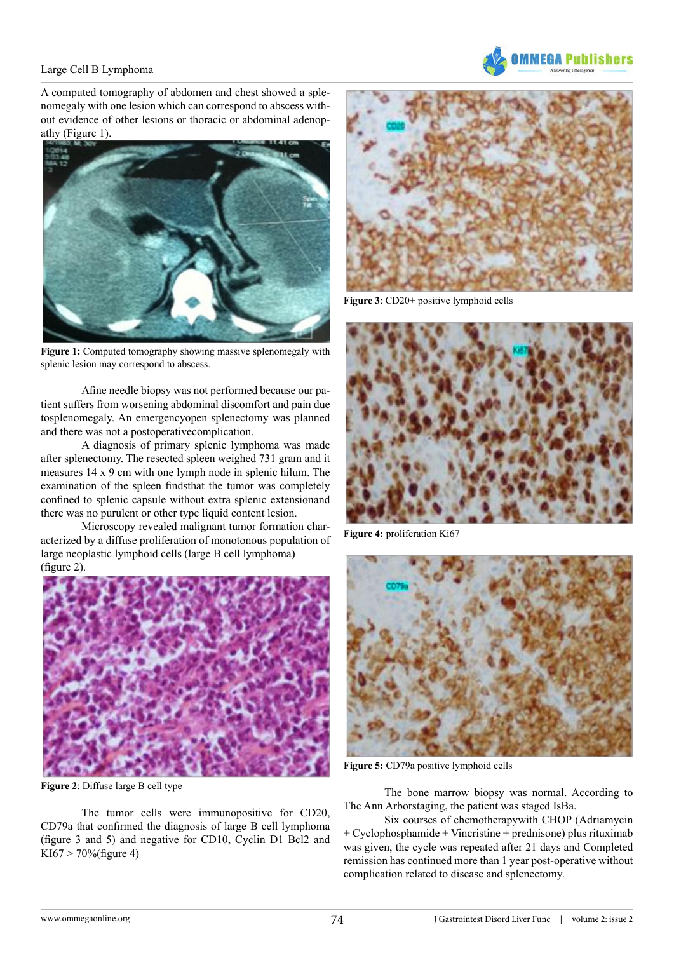

# Large Cell B Lymphoma

A computed tomography of abdomen and chest showed a splenomegaly with one lesion which can correspond to abscess without evidence of other lesions or thoracic or abdominal adenopathy (Figure 1).



**Figure 1:** Computed tomography showing massive splenomegaly with splenic lesion may correspond to abscess.

Afine needle biopsy was not performed because our patient suffers from worsening abdominal discomfort and pain due tosplenomegaly. An emergencyopen splenectomy was planned and there was not a postoperativecomplication.

A diagnosis of primary splenic lymphoma was made after splenectomy. The resected spleen weighed 731 gram and it measures 14 x 9 cm with one lymph node in splenic hilum. The examination of the spleen findsthat the tumor was completely confined to splenic capsule without extra splenic extensionand there was no purulent or other type liquid content lesion.

Microscopy revealed malignant tumor formation characterized by a diffuse proliferation of monotonous population of large neoplastic lymphoid cells (large B cell lymphoma) (figure 2).



**Figure 2**: Diffuse large B cell type

The tumor cells were immunopositive for CD20, CD79a that confirmed the diagnosis of large B cell lymphoma (figure 3 and 5) and negative for CD10, Cyclin D1 Bcl2 and KI67 > 70%(figure 4)



**Figure 3**: CD20+ positive lymphoid cells



**Figure 4:** proliferation Ki67



**Figure 5:** CD79a positive lymphoid cells

The bone marrow biopsy was normal. According to The Ann Arborstaging, the patient was staged IsBa.

Six courses of chemotherapywith CHOP (Adriamycin + Cyclophosphamide + Vincristine + prednisone) plus rituximab was given, the cycle was repeated after 21 days and Completed remission has continued more than 1 year post-operative without complication related to disease and splenectomy.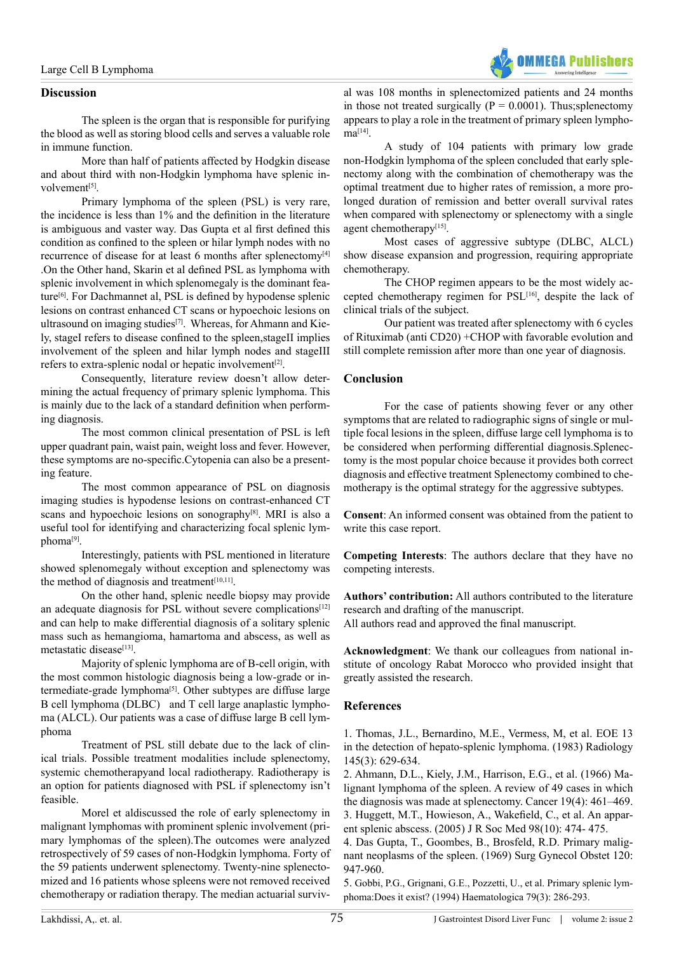

## **Discussion**

The spleen is the organ that is responsible for purifying the blood as well as storing blood cells and serves a valuable role in immune function.

More than half of patients affected by Hodgkin disease and about third with non-Hodgkin lymphoma have splenic involvement<sup>[5]</sup>.

Primary lymphoma of the spleen (PSL) is very rare, the incidence is less than 1% and the definition in the literature is ambiguous and vaster way. Das Gupta et al first defined this condition as confined to the spleen or hilar lymph nodes with no recurrence of disease for at least 6 months after splenectomy<sup>[\[4\]](#page-2-3)</sup> .On the Other hand, Skarin et al defined PSL as lymphoma with splenic involvement in which splenomegaly is the dominant fea-ture<sup>[\[6\]](#page-3-0)</sup>. For Dachmannet al, PSL is defined by hypodense splenic lesions on contrast enhanced CT scans or hypoechoic lesions on ultrasound on imaging studies<sup>[7]</sup>. Whereas, for Ahmann and Kiely, stageI refers to disease confined to the spleen,stageII implies involvement of the spleen and hilar lymph nodes and stageIII refers to extra-splenic nodal or hepatic involvement<sup>[\[2\]](#page-2-1)</sup>.

Consequently, literature review doesn't allow determining the actual frequency of primary splenic lymphoma. This is mainly due to the lack of a standard definition when performing diagnosis.

The most common clinical presentation of PSL is left upper quadrant pain, waist pain, weight loss and fever. However, these symptoms are no-specific.Cytopenia can also be a presenting feature.

The most common appearance of PSL on diagnosis imaging studies is hypodense lesions on contrast-enhanced CT scans and hypoechoic lesions on sonography<sup>[8]</sup>. MRI is also a useful tool for identifying and characterizing focal splenic lymphom[a\[9\]](#page-3-3).

Interestingly, patients with PSL mentioned in literature showed splenomegaly without exception and splenectomy was the method of diagnosis and treatment<sup>[10,11]</sup>.

On the other hand, splenic needle biopsy may provide an adequate diagnosis for PSL without severe complications<sup>[\[12\]](#page-3-5)</sup> and can help to make differential diagnosis of a solitary splenic mass such as hemangioma, hamartoma and abscess, as well as metastatic disease<sup>[13]</sup>.

Majority of splenic lymphoma are of B-cell origin, with the most common histologic diagnosis being a low-grade or intermediate-grade lymphoma[\[5\]](#page-2-4). Other subtypes are diffuse large B cell lymphoma (DLBC) and T cell large anaplastic lymphoma (ALCL). Our patients was a case of diffuse large B cell lymphoma

Treatment of PSL still debate due to the lack of clinical trials. Possible treatment modalities include splenectomy, systemic chemotherapyand local radiotherapy. Radiotherapy is an option for patients diagnosed with PSL if splenectomy isn't feasible.

Morel et aldiscussed the role of early splenectomy in malignant lymphomas with prominent splenic involvement (primary lymphomas of the spleen).The outcomes were analyzed retrospectively of 59 cases of non-Hodgkin lymphoma. Forty of the 59 patients underwent splenectomy. Twenty-nine splenectomized and 16 patients whose spleens were not removed received chemotherapy or radiation therapy. The median actuarial surviv-

al was 108 months in splenectomized patients and 24 months in those not treated surgically ( $P = 0.0001$ ). Thus; splenectomy appears to play a role in the treatment of primary spleen lympho $ma^{[14]}$ 

A study of 104 patients with primary low grade non-Hodgkin lymphoma of the spleen concluded that early splenectomy along with the combination of chemotherapy was the optimal treatment due to higher rates of remission, a more prolonged duration of remission and better overall survival rates when compared with splenectomy or splenectomy with a single agent chemotherapy<sup>[15]</sup>.

Most cases of aggressive subtype (DLBC, ALCL) show disease expansion and progression, requiring appropriate chemotherapy.

The CHOP regimen appears to be the most widely ac-cepted chemotherapy regimen for PSL<sup>[\[16\]](#page-3-9)</sup>, despite the lack of clinical trials of the subject.

Our patient was treated after splenectomy with 6 cycles of Rituximab (anti CD20) +CHOP with favorable evolution and still complete remission after more than one year of diagnosis.

# **Conclusion**

For the case of patients showing fever or any other symptoms that are related to radiographic signs of single or multiple focal lesions in the spleen, diffuse large cell lymphoma is to be considered when performing differential diagnosis.Splenectomy is the most popular choice because it provides both correct diagnosis and effective treatment Splenectomy combined to chemotherapy is the optimal strategy for the aggressive subtypes.

**Consent**: An informed consent was obtained from the patient to write this case report.

**Competing Interests**: The authors declare that they have no competing interests.

**Authors' contribution:** All authors contributed to the literature research and drafting of the manuscript.

All authors read and approved the final manuscript.

**Acknowledgment**: We thank our colleagues from national institute of oncology Rabat Morocco who provided insight that greatly assisted the research.

# **References**

<span id="page-2-0"></span>1. [Thomas, J.L., Bernardino, M.E., Vermess, M, et al. EOE 13](http://www.ncbi.nlm.nih.gov/pubmed/6292995) [in the detection of hepato-splenic lymphoma. \(1983\) Radiology](http://www.ncbi.nlm.nih.gov/pubmed/6292995) [145\(3\): 629-634.](http://www.ncbi.nlm.nih.gov/pubmed/6292995)

<span id="page-2-1"></span>2. [Ahmann, D.L., Kiely, J.M., Harrison, E.G., et al. \(1966\) Ma](http://www.ncbi.nlm.nih.gov/pubmed/5327041)[lignant lymphoma of the spleen. A review of 49 cases in which](http://www.ncbi.nlm.nih.gov/pubmed/5327041) [the diagnosis was made at splenectomy. Cancer 19\(4\): 461–469.](http://www.ncbi.nlm.nih.gov/pubmed/5327041) 3. [Huggett, M.T., Howieson, A., Wakefield, C., et al. An appar](http://www.ncbi.nlm.nih.gov/pubmed/16199818)[ent splenic abscess. \(2005\) J R Soc Med 98\(10\): 474- 475.](http://www.ncbi.nlm.nih.gov/pubmed/16199818)

<span id="page-2-3"></span><span id="page-2-2"></span>4. [Das Gupta, T., Goombes, B., Brosfeld, R.D. Primary malig](http://www.ncbi.nlm.nih.gov/pubmed/14269844)[nant neoplasms of the spleen. \(1969\) Surg Gynecol Obstet 120:](http://www.ncbi.nlm.nih.gov/pubmed/14269844) [947-960.](http://www.ncbi.nlm.nih.gov/pubmed/14269844)

<span id="page-2-4"></span>5. [Gobbi, P.G., Grignani, G.E., Pozzetti, U., et al. Primary splenic lym](http://www.ncbi.nlm.nih.gov/pubmed/7926983)[phoma:Does it exist? \(1994\) Haematologica 79\(3\): 286-293.](http://www.ncbi.nlm.nih.gov/pubmed/7926983)